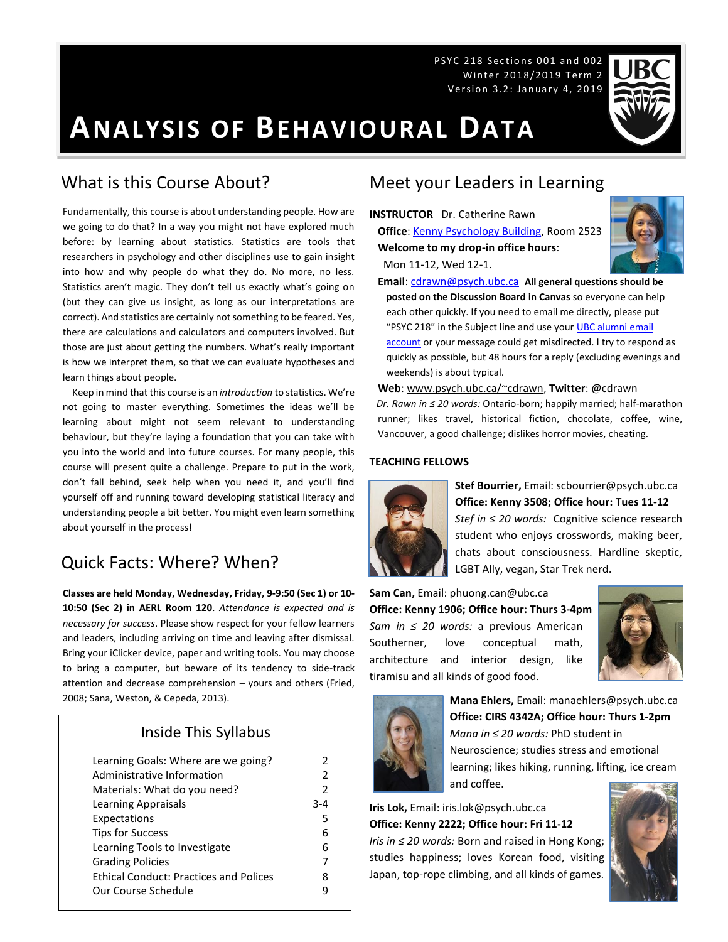PSYC 218 Sections 001 and 002 Winter 2018/2019 Term 2 Version 3.2: January 4, 2019

# **ANALYSIS OF BEHAVIOURAL DATA**

### What is this Course About?

Fundamentally, this course is about understanding people. How are we going to do that? In a way you might not have explored much before: by learning about statistics. Statistics are tools that researchers in psychology and other disciplines use to gain insight into how and why people do what they do. No more, no less. Statistics aren't magic. They don't tell us exactly what's going on (but they can give us insight, as long as our interpretations are correct). And statistics are certainly not something to be feared. Yes, there are calculations and calculators and computers involved. But those are just about getting the numbers. What's really important is how we interpret them, so that we can evaluate hypotheses and learn things about people.

 Keep in mind that this course is an *introduction* to statistics. We're not going to master everything. Sometimes the ideas we'll be learning about might not seem relevant to understanding behaviour, but they're laying a foundation that you can take with you into the world and into future courses. For many people, this course will present quite a challenge. Prepare to put in the work, don't fall behind, seek help when you need it, and you'll find yourself off and running toward developing statistical literacy and understanding people a bit better. You might even learn something about yourself in the process!

### Quick Facts: Where? When?

**Classes are held Monday, Wednesday, Friday, 9-9:50 (Sec 1) or 10- 10:50 (Sec 2) in AERL Room 120**. *Attendance is expected and is necessary for success*. Please show respect for your fellow learners and leaders, including arriving on time and leaving after dismissal. Bring your iClicker device, paper and writing tools. You may choose to bring a computer, but beware of its tendency to side-track attention and decrease comprehension – yours and others (Fried, 2008; Sana, Weston, & Cepeda, 2013).

### Inside This Syllabus

| Learning Goals: Where are we going?           | 2             |
|-----------------------------------------------|---------------|
| Administrative Information                    | $\mathcal{P}$ |
| Materials: What do you need?                  | $\mathcal{P}$ |
| Learning Appraisals                           | $3 - 4$       |
| Expectations                                  | 5             |
| <b>Tips for Success</b>                       | 6             |
| Learning Tools to Investigate                 | 6             |
| <b>Grading Policies</b>                       | 7             |
| <b>Ethical Conduct: Practices and Polices</b> | 8             |
| Our Course Schedule                           | q             |
|                                               |               |

### Meet your Leaders in Learning

**INSTRUCTOR** Dr. Catherine Rawn **Office**[: Kenny Psychology Building,](http://www.maps.ubc.ca/PROD/index_detail.php?locat1=732) Room 2523 **Welcome to my drop-in office hours**: Mon 11-12, Wed 12-1.



**Email**: [cdrawn@psych.ubc.ca](mailto:cdrawn@psych.ubc.ca) **All general questions should be posted on the Discussion Board in Canvas** so everyone can help each other quickly. If you need to email me directly, please put "PSYC 218" in the Subject line and use your **UBC** alumni email [account](http://it.ubc.ca/services/email-voice-internet/student-alumni-email-service) or your message could get misdirected. I try to respond as quickly as possible, but 48 hours for a reply (excluding evenings and weekends) is about typical.

**Web**[: www.psych.ubc.ca/~cdrawn,](http://www.psych.ubc.ca/~cdrawn) **Twitter**: @cdrawn *Dr. Rawn in ≤ 20 words:* Ontario-born; happily married; half-marathon runner; likes travel, historical fiction, chocolate, coffee, wine, Vancouver, a good challenge; dislikes horror movies, cheating.

#### **TEACHING FELLOWS**



**Stef Bourrier,** Email: scbourrier@psych.ubc.ca **Office: Kenny 3508; Office hour: Tues 11-12** *Stef in ≤ 20 words:* Cognitive science research student who enjoys crosswords, making beer, chats about consciousness. Hardline skeptic, LGBT Ally, vegan, Star Trek nerd.

**Sam Can,** Email: phuong.can@ubc.ca **Office: Kenny 1906; Office hour: Thurs 3-4pm** *Sam in ≤ 20 words:* a previous American Southerner, love conceptual math, architecture and interior design, like tiramisu and all kinds of good food.





**Mana Ehlers,** Email: manaehlers@psych.ubc.ca **Office: CIRS 4342A; Office hour: Thurs 1-2pm** *Mana in ≤ 20 words:* PhD student in Neuroscience; studies stress and emotional learning; likes hiking, running, lifting, ice cream and coffee.

**Iris Lok,** Email: iris.lok@psych.ubc.ca **Office: Kenny 2222; Office hour: Fri 11-12**

*Iris in ≤ 20 words:* Born and raised in Hong Kong; studies happiness; loves Korean food, visiting Japan, top-rope climbing, and all kinds of games.

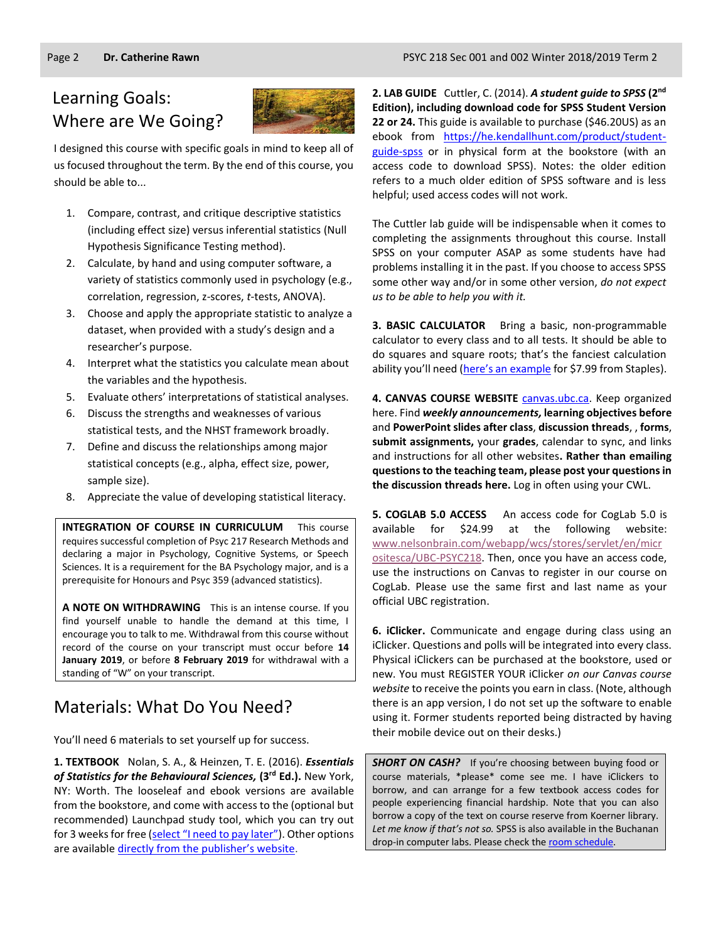# Learning Goals: Where are We Going?



I designed this course with specific goals in mind to keep all of us focused throughout the term. By the end of this course, you should be able to...

- 1. Compare, contrast, and critique descriptive statistics (including effect size) versus inferential statistics (Null Hypothesis Significance Testing method).
- 2. Calculate, by hand and using computer software, a variety of statistics commonly used in psychology (e.g., correlation, regression, z-scores, *t*-tests, ANOVA).
- 3. Choose and apply the appropriate statistic to analyze a dataset, when provided with a study's design and a researcher's purpose.
- 4. Interpret what the statistics you calculate mean about the variables and the hypothesis.
- 5. Evaluate others' interpretations of statistical analyses.
- 6. Discuss the strengths and weaknesses of various statistical tests, and the NHST framework broadly.
- 7. Define and discuss the relationships among major statistical concepts (e.g., alpha, effect size, power, sample size).
- 8. Appreciate the value of developing statistical literacy.

**INTEGRATION OF COURSE IN CURRICULUM** This course requires successful completion of Psyc 217 Research Methods and declaring a major in Psychology, Cognitive Systems, or Speech Sciences. It is a requirement for the BA Psychology major, and is a prerequisite for Honours and Psyc 359 (advanced statistics).

**A NOTE ON WITHDRAWING** This is an intense course. If you find yourself unable to handle the demand at this time, I encourage you to talk to me. Withdrawal from this course without record of the course on your transcript must occur before **14 January 2019**, or before **8 February 2019** for withdrawal with a standing of "W" on your transcript.

# Materials: What Do You Need?

You'll need 6 materials to set yourself up for success.

**1. TEXTBOOK** Nolan, S. A., & Heinzen, T. E. (2016). *Essentials of Statistics for the Behavioural Sciences,* **(3 rd Ed.).** New York, NY: Worth. The looseleaf and ebook versions are available from the bookstore, and come with access to the (optional but recommended) Launchpad study tool, which you can try out for 3 weeks for free ([select "I need to pay later"](https://reg.macmillanhighered.com/Account/Unauthenticated?TargetURL=http://www.macmillanhighered.com/launchpad/nolanessentials3e/9793682)). Other options are available [directly from the publisher's website](https://store.macmillanlearning.com/ca/product/Essentials-of-Statistics-for-the-Behavioral-Sciences/p/1464107777?searchText=Essentials%26%23x20%3bof%26%23x20%3bStatistics%26%23x20%3bfor%26%23x20%3bthe%26%23x20%3bBehavioral%26%23x20%3bSciences).

**2. LAB GUIDE** Cuttler, C. (2014). *A student guide to SPSS* **(2nd Edition), including download code for SPSS Student Version 22 or 24.** This guide is available to purchase (\$46.20US) as an ebook from https://he.kendallhunt.com/product/studentguide-spss or in physical form at the bookstore (with an access code to download SPSS). Notes: the older edition refers to a much older edition of SPSS software and is less helpful; used access codes will not work.

The Cuttler lab guide will be indispensable when it comes to completing the assignments throughout this course. Install SPSS on your computer ASAP as some students have had problems installing it in the past. If you choose to access SPSS some other way and/or in some other version, *do not expect us to be able to help you with it.*

**3. BASIC CALCULATOR** Bring a basic, non-programmable calculator to every class and to all tests. It should be able to do squares and square roots; that's the fanciest calculation ability you'll need [\(here's an example](https://www.staples.ca/en/Staples-BD-107i-10-Digit-Scientific-Handheld-Calculator/product_506594_1-CA_1_20001) for \$7.99 from Staples).

**4. CANVAS COURSE WEBSITE** [canvas.ubc.ca.](https://canvas.ubc.ca/) Keep organized here. Find *weekly announcements,* **learning objectives before** and **PowerPoint slides after class**, **discussion threads**, , **forms**, **submit assignments,** your **grades**, calendar to sync, and links and instructions for all other websites**. Rather than emailing questions to the teaching team, please post your questions in the discussion threads here.** Log in often using your CWL.

**5. COGLAB 5.0 ACCESS** An access code for CogLab 5.0 is available for \$24.99 at the following website: [www.nelsonbrain.com/webapp/wcs/stores/servlet/en/micr](http://www.nelsonbrain.com/webapp/wcs/stores/servlet/en/micrositesca/UBC-PSYC218) [ositesca/UBC-PSYC218.](http://www.nelsonbrain.com/webapp/wcs/stores/servlet/en/micrositesca/UBC-PSYC218) Then, once you have an access code, use the instructions on Canvas to register in our course on CogLab. Please use the same first and last name as your official UBC registration.

**6. iClicker.** Communicate and engage during class using an iClicker. Questions and polls will be integrated into every class. Physical iClickers can be purchased at the bookstore, used or new. You must REGISTER YOUR iClicker *on our Canvas course website* to receive the points you earn in class. (Note, although there is an app version, I do not set up the software to enable using it. Former students reported being distracted by having their mobile device out on their desks.)

*SHORT ON CASH?* If you're choosing between buying food or course materials, \*please\* come see me. I have iClickers to borrow, and can arrange for a few textbook access codes for people experiencing financial hardship. Note that you can also borrow a copy of the text on course reserve from Koerner library. *Let me know if that's not so.* SPSS is also available in the Buchanan drop-in computer labs. Please check th[e room schedule.](https://isit.arts.ubc.ca/buchanan-b121-drop-in-lab/)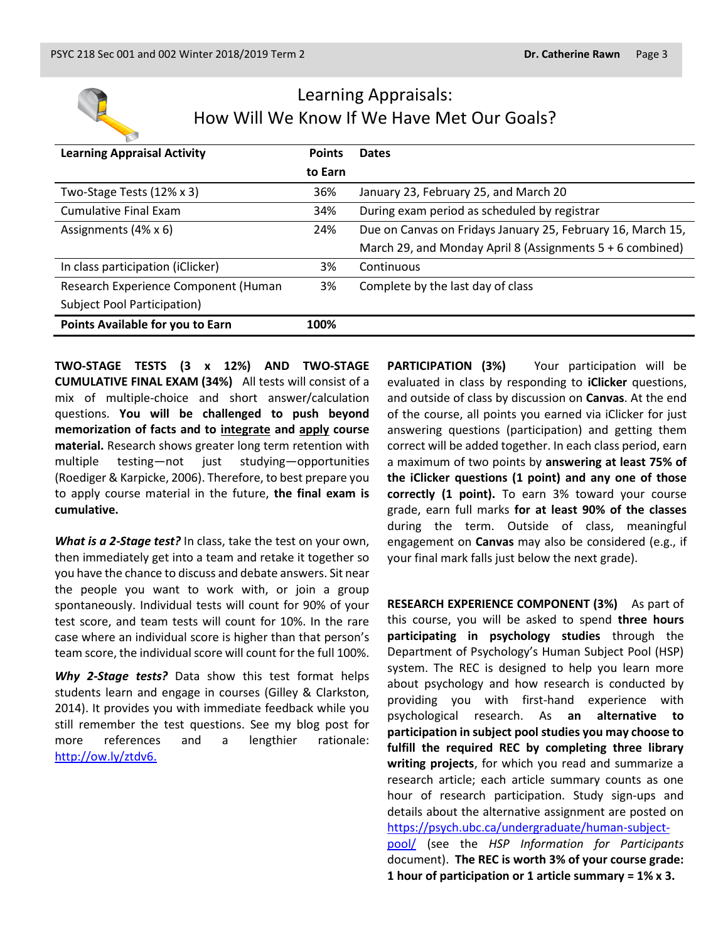

# Learning Appraisals: How Will We Know If We Have Met Our Goals?

| <b>Learning Appraisal Activity</b>   | <b>Points</b> | <b>Dates</b>                                                |
|--------------------------------------|---------------|-------------------------------------------------------------|
|                                      | to Earn       |                                                             |
| Two-Stage Tests (12% x 3)            | 36%           | January 23, February 25, and March 20                       |
| <b>Cumulative Final Exam</b>         | 34%           | During exam period as scheduled by registrar                |
| Assignments (4% x 6)                 | 24%           | Due on Canvas on Fridays January 25, February 16, March 15, |
|                                      |               | March 29, and Monday April 8 (Assignments 5 + 6 combined)   |
| In class participation (iClicker)    | 3%            | Continuous                                                  |
| Research Experience Component (Human | 3%            | Complete by the last day of class                           |
| Subject Pool Participation)          |               |                                                             |
| Points Available for you to Earn     | 100%          |                                                             |

**TWO-STAGE TESTS (3 x 12%) AND TWO-STAGE CUMULATIVE FINAL EXAM (34%)** All tests will consist of a mix of multiple-choice and short answer/calculation questions. **You will be challenged to push beyond memorization of facts and to integrate and apply course material.** Research shows greater long term retention with multiple testing—not just studying—opportunities (Roediger & Karpicke, 2006). Therefore, to best prepare you to apply course material in the future, **the final exam is cumulative.**

*What is a 2-Stage test?* In class, take the test on your own, then immediately get into a team and retake it together so you have the chance to discuss and debate answers. Sit near the people you want to work with, or join a group spontaneously. Individual tests will count for 90% of your test score, and team tests will count for 10%. In the rare case where an individual score is higher than that person's team score, the individual score will count for the full 100%.

*Why 2-Stage tests?* Data show this test format helps students learn and engage in courses (Gilley & Clarkston, 2014). It provides you with immediate feedback while you still remember the test questions. See my blog post for more references and a lengthier rationale: [http://ow.ly/ztdv6.](http://ow.ly/ztdv6)

**PARTICIPATION (3%)** Your participation will be evaluated in class by responding to **iClicker** questions, and outside of class by discussion on **Canvas**. At the end of the course, all points you earned via iClicker for just answering questions (participation) and getting them correct will be added together. In each class period, earn a maximum of two points by **answering at least 75% of the iClicker questions (1 point) and any one of those correctly (1 point).** To earn 3% toward your course grade, earn full marks **for at least 90% of the classes** during the term. Outside of class, meaningful engagement on **Canvas** may also be considered (e.g., if your final mark falls just below the next grade).

**RESEARCH EXPERIENCE COMPONENT (3%)** As part of this course, you will be asked to spend **three hours participating in psychology studies** through the Department of Psychology's Human Subject Pool (HSP) system. The REC is designed to help you learn more about psychology and how research is conducted by providing you with first-hand experience with psychological research. As **an alternative to participation in subject pool studies you may choose to fulfill the required REC by completing three library writing projects**, for which you read and summarize a research article; each article summary counts as one hour of research participation. Study sign-ups and details about the alternative assignment are posted on [https://psych.ubc.ca/undergraduate/human-subject](https://psych.ubc.ca/undergraduate/human-subject-pool/)[pool/](https://psych.ubc.ca/undergraduate/human-subject-pool/) (see the *HSP Information for Participants* document). **The REC is worth 3% of your course grade: 1 hour of participation or 1 article summary = 1% x 3.**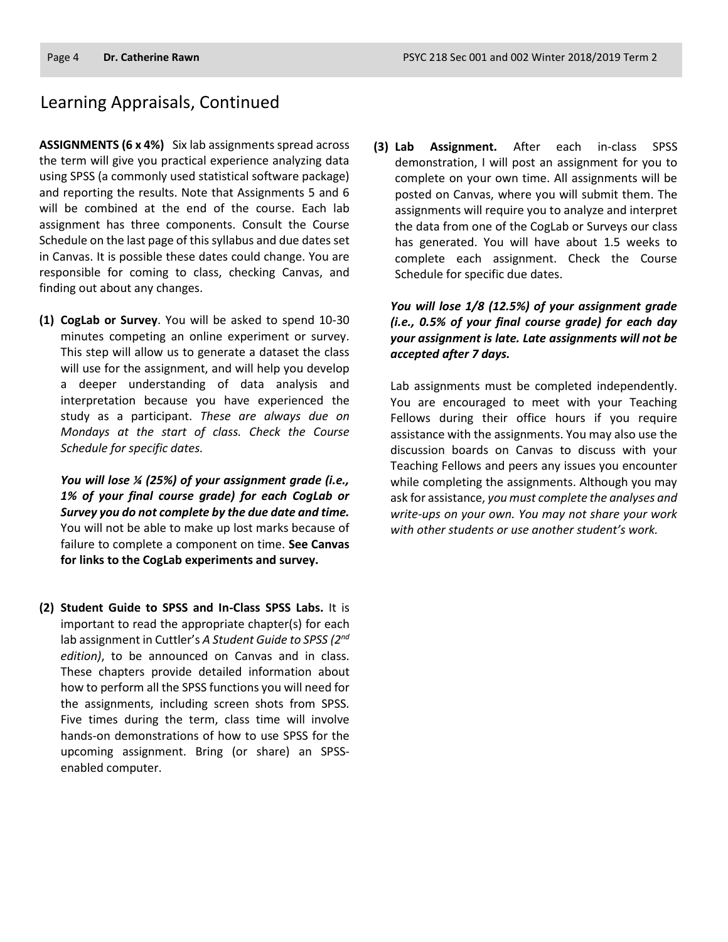### Learning Appraisals, Continued

**ASSIGNMENTS (6 x 4%)** Six lab assignments spread across the term will give you practical experience analyzing data using SPSS (a commonly used statistical software package) and reporting the results. Note that Assignments 5 and 6 will be combined at the end of the course. Each lab assignment has three components. Consult the Course Schedule on the last page of this syllabus and due dates set in Canvas. It is possible these dates could change. You are responsible for coming to class, checking Canvas, and finding out about any changes.

**(1) CogLab or Survey**. You will be asked to spend 10-30 minutes competing an online experiment or survey. This step will allow us to generate a dataset the class will use for the assignment, and will help you develop a deeper understanding of data analysis and interpretation because you have experienced the study as a participant. *These are always due on Mondays at the start of class. Check the Course Schedule for specific dates.*

*You will lose ¼ (25%) of your assignment grade (i.e., 1% of your final course grade) for each CogLab or Survey you do not complete by the due date and time.* You will not be able to make up lost marks because of failure to complete a component on time. **See Canvas for links to the CogLab experiments and survey.**

**(2) Student Guide to SPSS and In-Class SPSS Labs.** It is important to read the appropriate chapter(s) for each lab assignment in Cuttler's *A Student Guide to SPSS (2nd edition)*, to be announced on Canvas and in class. These chapters provide detailed information about how to perform all the SPSS functions you will need for the assignments, including screen shots from SPSS. Five times during the term, class time will involve hands-on demonstrations of how to use SPSS for the upcoming assignment. Bring (or share) an SPSSenabled computer.

**(3) Lab Assignment.** After each in-class SPSS demonstration, I will post an assignment for you to complete on your own time. All assignments will be posted on Canvas, where you will submit them. The assignments will require you to analyze and interpret the data from one of the CogLab or Surveys our class has generated. You will have about 1.5 weeks to complete each assignment. Check the Course Schedule for specific due dates.

*You will lose 1/8 (12.5%) of your assignment grade (i.e., 0.5% of your final course grade) for each day your assignment is late. Late assignments will not be accepted after 7 days.*

Lab assignments must be completed independently. You are encouraged to meet with your Teaching Fellows during their office hours if you require assistance with the assignments. You may also use the discussion boards on Canvas to discuss with your Teaching Fellows and peers any issues you encounter while completing the assignments. Although you may ask for assistance, *you must complete the analyses and write-ups on your own. You may not share your work with other students or use another student's work.*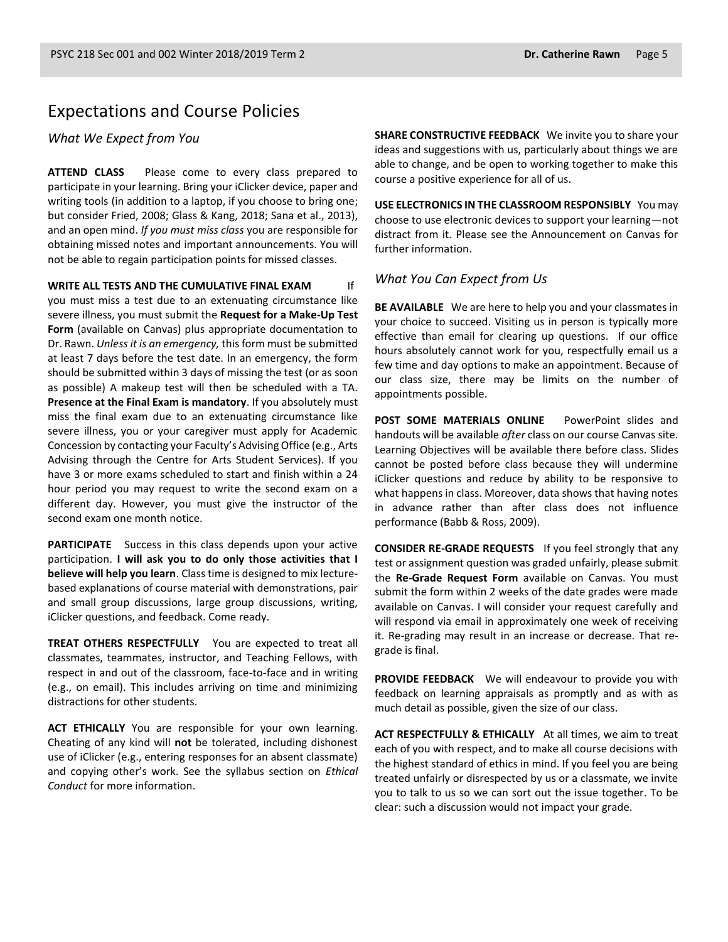### Expectations and Course Policies

*What We Expect from You*

**ATTEND CLASS** Please come to every class prepared to participate in your learning. Bring your iClicker device, paper and writing tools (in addition to a laptop, if you choose to bring one; but consider Fried, 2008; Glass & Kang, 2018; Sana et al., 2013), and an open mind. *If you must miss class* you are responsible for obtaining missed notes and important announcements. You will not be able to regain participation points for missed classes.

**WRITE ALL TESTS AND THE CUMULATIVE FINAL EXAM** If you must miss a test due to an extenuating circumstance like severe illness, you must submit the **Request for a Make-Up Test Form** (available on Canvas) plus appropriate documentation to Dr. Rawn. *Unless it is an emergency,* this form must be submitted at least 7 days before the test date. In an emergency, the form should be submitted within 3 days of missing the test (or as soon as possible) A makeup test will then be scheduled with a TA. **Presence at the Final Exam is mandatory**. If you absolutely must miss the final exam due to an extenuating circumstance like severe illness, you or your caregiver must apply for Academic Concession by contacting your Faculty's Advising Office (e.g., Arts Advising through the Centre for Arts Student Services). If you have 3 or more exams scheduled to start and finish within a 24 hour period you may request to write the second exam on a different day. However, you must give the instructor of the second exam one month notice.

**PARTICIPATE** Success in this class depends upon your active participation. **I will ask you to do only those activities that I believe will help you learn**. Class time is designed to mix lecturebased explanations of course material with demonstrations, pair and small group discussions, large group discussions, writing, iClicker questions, and feedback. Come ready.

**TREAT OTHERS RESPECTFULLY** You are expected to treat all classmates, teammates, instructor, and Teaching Fellows, with respect in and out of the classroom, face-to-face and in writing (e.g., on email). This includes arriving on time and minimizing distractions for other students.

**ACT ETHICALLY** You are responsible for your own learning. Cheating of any kind will **not** be tolerated, including dishonest use of iClicker (e.g., entering responses for an absent classmate) and copying other's work. See the syllabus section on *Ethical Conduct* for more information.

**SHARE CONSTRUCTIVE FEEDBACK** We invite you to share your ideas and suggestions with us, particularly about things we are able to change, and be open to working together to make this course a positive experience for all of us.

**USE ELECTRONICS IN THE CLASSROOM RESPONSIBLY** You may choose to use electronic devices to support your learning—not distract from it. Please see the Announcement on Canvas for further information.

#### *What You Can Expect from Us*

**BE AVAILABLE** We are here to help you and your classmates in your choice to succeed. Visiting us in person is typically more effective than email for clearing up questions. If our office hours absolutely cannot work for you, respectfully email us a few time and day options to make an appointment. Because of our class size, there may be limits on the number of appointments possible.

**POST SOME MATERIALS ONLINE** PowerPoint slides and handouts will be available *after* class on our course Canvas site. Learning Objectives will be available there before class. Slides cannot be posted before class because they will undermine iClicker questions and reduce by ability to be responsive to what happens in class. Moreover, data shows that having notes in advance rather than after class does not influence performance (Babb & Ross, 2009).

**CONSIDER RE-GRADE REQUESTS** If you feel strongly that any test or assignment question was graded unfairly, please submit the **Re-Grade Request Form** available on Canvas. You must submit the form within 2 weeks of the date grades were made available on Canvas. I will consider your request carefully and will respond via email in approximately one week of receiving it. Re-grading may result in an increase or decrease. That regrade is final.

**PROVIDE FEEDBACK** We will endeavour to provide you with feedback on learning appraisals as promptly and as with as much detail as possible, given the size of our class.

**ACT RESPECTFULLY & ETHICALLY** At all times, we aim to treat each of you with respect, and to make all course decisions with the highest standard of ethics in mind. If you feel you are being treated unfairly or disrespected by us or a classmate, we invite you to talk to us so we can sort out the issue together. To be clear: such a discussion would not impact your grade.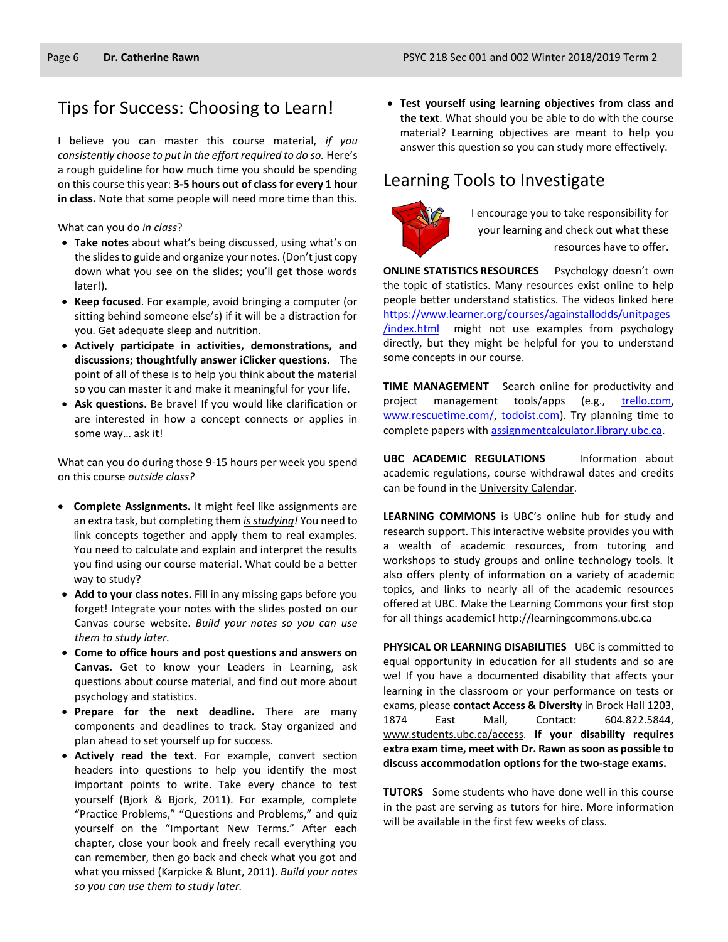## Tips for Success: Choosing to Learn!

I believe you can master this course material, *if you consistently choose to put in the effort required to do so.* Here's a rough guideline for how much time you should be spending on this course this year: **3-5 hours out of class for every 1 hour in class.** Note that some people will need more time than this.

What can you do *in class*?

- **Take notes** about what's being discussed, using what's on the slides to guide and organize your notes. (Don't just copy down what you see on the slides; you'll get those words later!).
- **Keep focused**. For example, avoid bringing a computer (or sitting behind someone else's) if it will be a distraction for you. Get adequate sleep and nutrition.
- **Actively participate in activities, demonstrations, and discussions; thoughtfully answer iClicker questions**. The point of all of these is to help you think about the material so you can master it and make it meaningful for your life.
- **Ask questions**. Be brave! If you would like clarification or are interested in how a concept connects or applies in some way… ask it!

What can you do during those 9-15 hours per week you spend on this course *outside class?*

- **Complete Assignments.** It might feel like assignments are an extra task, but completing them *is studying!* You need to link concepts together and apply them to real examples. You need to calculate and explain and interpret the results you find using our course material. What could be a better way to study?
- **Add to your class notes.** Fill in any missing gaps before you forget! Integrate your notes with the slides posted on our Canvas course website. *Build your notes so you can use them to study later.*
- **Come to office hours and post questions and answers on Canvas.** Get to know your Leaders in Learning, ask questions about course material, and find out more about psychology and statistics.
- **Prepare for the next deadline.** There are many components and deadlines to track. Stay organized and plan ahead to set yourself up for success.
- **Actively read the text**. For example, convert section headers into questions to help you identify the most important points to write. Take every chance to test yourself (Bjork & Bjork, 2011). For example, complete "Practice Problems," "Questions and Problems," and quiz yourself on the "Important New Terms." After each chapter, close your book and freely recall everything you can remember, then go back and check what you got and what you missed (Karpicke & Blunt, 2011). *Build your notes so you can use them to study later.*

 **Test yourself using learning objectives from class and the text**. What should you be able to do with the course material? Learning objectives are meant to help you answer this question so you can study more effectively.

# Learning Tools to Investigate



I encourage you to take responsibility for your learning and check out what these resources have to offer.

**ONLINE STATISTICS RESOURCES** Psychology doesn't own the topic of statistics. Many resources exist online to help people better understand statistics. The videos linked here [https://www.learner.org/courses/againstallodds/unitpages](https://www.learner.org/courses/againstallodds/unitpages/index.html) [/index.html](https://www.learner.org/courses/againstallodds/unitpages/index.html) might not use examples from psychology directly, but they might be helpful for you to understand some concepts in our course.

**TIME MANAGEMENT** Search online for productivity and project management tools/apps (e.g., [trello.com,](http://trello.com/) [www.rescuetime.com/,](http://www.rescuetime.com/) [todoist.com\)](https://todoist.com/). Try planning time to complete papers with [assignmentcalculator.library.ubc.ca.](http://assignmentcalculator.library.ubc.ca/)

**UBC ACADEMIC REGULATIONS** Information about academic regulations, course withdrawal dates and credits can be found in th[e University Calendar.](http://students.ubc.ca/calendar/academicyear.cfm)

**LEARNING COMMONS** is UBC's online hub for study and research support. This interactive website provides you with a wealth of academic resources, from tutoring and workshops to study groups and online technology tools. It also offers plenty of information on a variety of academic topics, and links to nearly all of the academic resources offered at UBC. Make the Learning Commons your first stop for all things academic! [http://learningcommons.ubc.ca](http://learningcommons.ubc.ca/)

**PHYSICAL OR LEARNING DISABILITIES** UBC is committed to equal opportunity in education for all students and so are we! If you have a documented disability that affects your learning in the classroom or your performance on tests or exams, please **contact Access & Diversity** in Brock Hall 1203, 1874 East Mall, Contact: 604.822.5844, [www.students.ubc.ca/access.](http://www.students.ubc.ca/access) **If your disability requires extra exam time, meet with Dr. Rawn as soon as possible to discuss accommodation options for the two-stage exams.**

**TUTORS** Some students who have done well in this course in the past are serving as tutors for hire. More information will be available in the first few weeks of class.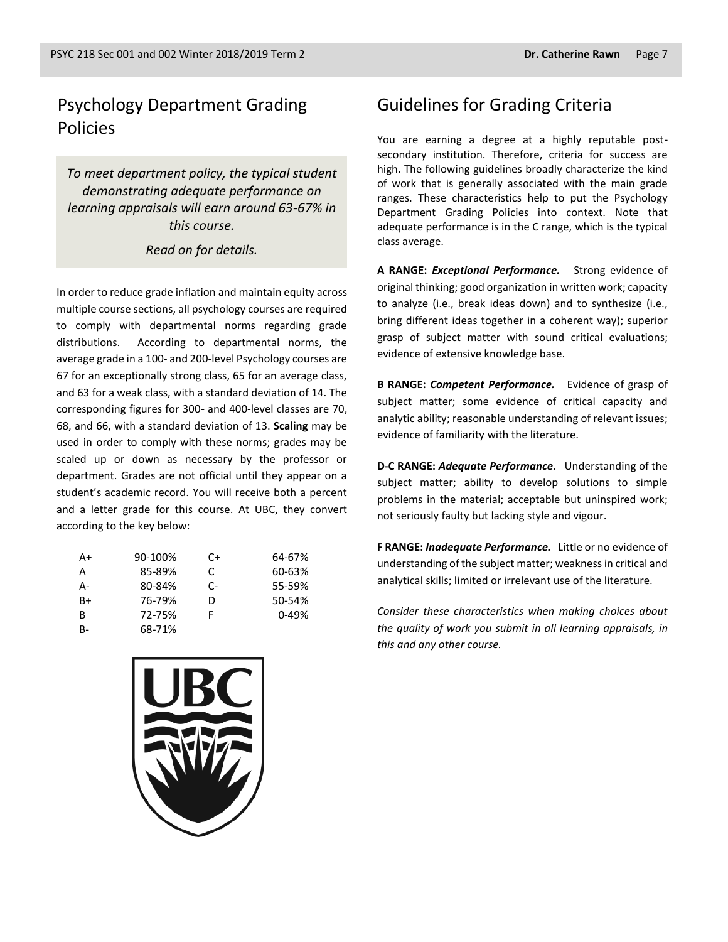### Psychology Department Grading Policies

*To meet department policy, the typical student demonstrating adequate performance on learning appraisals will earn around 63-67% in this course.* 

#### *Read on for details.*

In order to reduce grade inflation and maintain equity across multiple course sections, all psychology courses are required to comply with departmental norms regarding grade distributions. According to departmental norms, the average grade in a 100- and 200-level Psychology courses are 67 for an exceptionally strong class, 65 for an average class, and 63 for a weak class, with a standard deviation of 14. The corresponding figures for 300- and 400-level classes are 70, 68, and 66, with a standard deviation of 13. **Scaling** may be used in order to comply with these norms; grades may be scaled up or down as necessary by the professor or department. Grades are not official until they appear on a student's academic record. You will receive both a percent and a letter grade for this course. At UBC, they convert according to the key below:

| A+        | 90-100% | C+ | 64-67%    |
|-----------|---------|----|-----------|
| A         | 85-89%  | C  | 60-63%    |
| А-        | 80-84%  | C- | 55-59%    |
| $B+$      | 76-79%  | D  | 50-54%    |
| B         | 72-75%  | F  | $0 - 49%$ |
| <b>B-</b> | 68-71%  |    |           |



You are earning a degree at a highly reputable postsecondary institution. Therefore, criteria for success are high. The following guidelines broadly characterize the kind of work that is generally associated with the main grade ranges. These characteristics help to put the Psychology Department Grading Policies into context. Note that adequate performance is in the C range, which is the typical class average.

**A RANGE:** *Exceptional Performance.* Strong evidence of original thinking; good organization in written work; capacity to analyze (i.e., break ideas down) and to synthesize (i.e., bring different ideas together in a coherent way); superior grasp of subject matter with sound critical evaluations; evidence of extensive knowledge base.

**B RANGE:** *Competent Performance.* Evidence of grasp of subject matter; some evidence of critical capacity and analytic ability; reasonable understanding of relevant issues; evidence of familiarity with the literature.

**D-C RANGE:** *Adequate Performance*. Understanding of the subject matter; ability to develop solutions to simple problems in the material; acceptable but uninspired work; not seriously faulty but lacking style and vigour.

**F RANGE:** *Inadequate Performance.* Little or no evidence of understanding of the subject matter; weakness in critical and analytical skills; limited or irrelevant use of the literature.

*Consider these characteristics when making choices about the quality of work you submit in all learning appraisals, in this and any other course.*

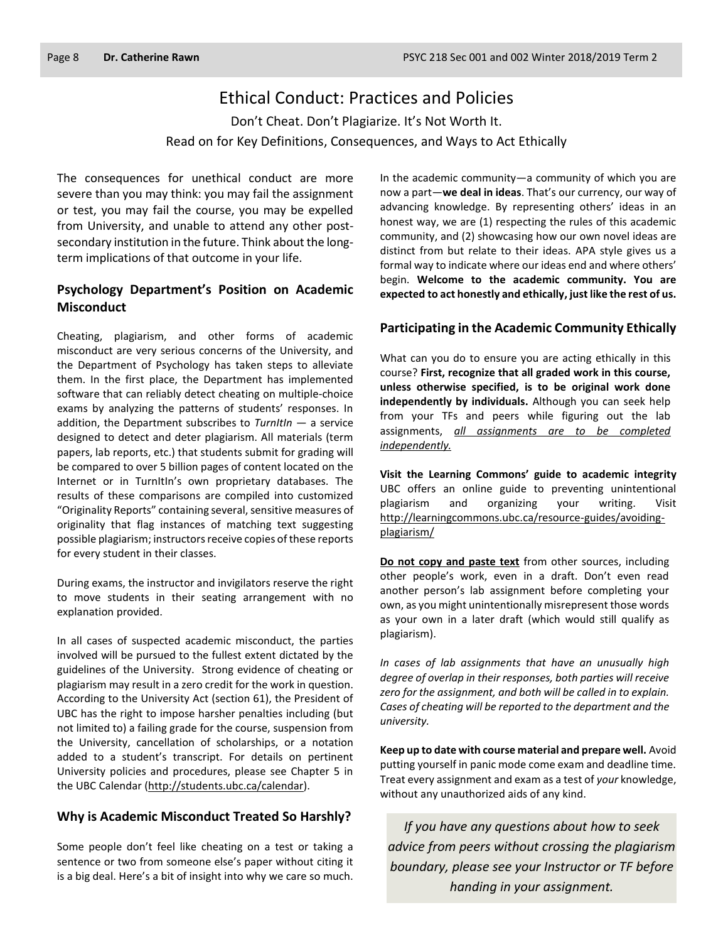### Ethical Conduct: Practices and Policies

Don't Cheat. Don't Plagiarize. It's Not Worth It. Read on for Key Definitions, Consequences, and Ways to Act Ethically

The consequences for unethical conduct are more severe than you may think: you may fail the assignment or test, you may fail the course, you may be expelled from University, and unable to attend any other postsecondary institution in the future. Think about the longterm implications of that outcome in your life.

#### **Psychology Department's Position on Academic Misconduct**

Cheating, plagiarism, and other forms of academic misconduct are very serious concerns of the University, and the Department of Psychology has taken steps to alleviate them. In the first place, the Department has implemented software that can reliably detect cheating on multiple-choice exams by analyzing the patterns of students' responses. In addition, the Department subscribes to *TurnItIn* — a service designed to detect and deter plagiarism. All materials (term papers, lab reports, etc.) that students submit for grading will be compared to over 5 billion pages of content located on the Internet or in TurnItIn's own proprietary databases. The results of these comparisons are compiled into customized "Originality Reports" containing several, sensitive measures of originality that flag instances of matching text suggesting possible plagiarism; instructors receive copies of these reports for every student in their classes.

During exams, the instructor and invigilators reserve the right to move students in their seating arrangement with no explanation provided.

In all cases of suspected academic misconduct, the parties involved will be pursued to the fullest extent dictated by the guidelines of the University. Strong evidence of cheating or plagiarism may result in a zero credit for the work in question. According to the University Act (section 61), the President of UBC has the right to impose harsher penalties including (but not limited to) a failing grade for the course, suspension from the University, cancellation of scholarships, or a notation added to a student's transcript. For details on pertinent University policies and procedures, please see Chapter 5 in the UBC Calendar [\(http://students.ubc.ca/calendar\)](http://students.ubc.ca/calendar).

#### **Why is Academic Misconduct Treated So Harshly?**

Some people don't feel like cheating on a test or taking a sentence or two from someone else's paper without citing it is a big deal. Here's a bit of insight into why we care so much.

In the academic community—a community of which you are now a part—**we deal in ideas**. That's our currency, our way of advancing knowledge. By representing others' ideas in an honest way, we are (1) respecting the rules of this academic community, and (2) showcasing how our own novel ideas are distinct from but relate to their ideas. APA style gives us a formal way to indicate where our ideas end and where others' begin. **Welcome to the academic community. You are expected to act honestly and ethically, just like the rest of us.**

#### **Participating in the Academic Community Ethically**

What can you do to ensure you are acting ethically in this course? **First, recognize that all graded work in this course, unless otherwise specified, is to be original work done independently by individuals.** Although you can seek help from your TFs and peers while figuring out the lab assignments, *all assignments are to be completed independently.*

**Visit the Learning Commons' guide to academic integrity**  UBC offers an online guide to preventing unintentional plagiarism and organizing your writing. Visit [http://learningcommons.ubc.ca/resource-guides/avoiding](http://learningcommons.ubc.ca/resource-guides/avoiding-plagiarism/)[plagiarism/](http://learningcommons.ubc.ca/resource-guides/avoiding-plagiarism/)

**Do not copy and paste text** from other sources, including other people's work, even in a draft. Don't even read another person's lab assignment before completing your own, as you might unintentionally misrepresent those words as your own in a later draft (which would still qualify as plagiarism).

*In cases of lab assignments that have an unusually high degree of overlap in their responses, both parties will receive zero for the assignment, and both will be called in to explain. Cases of cheating will be reported to the department and the university.*

**Keep up to date with course material and prepare well.** Avoid putting yourself in panic mode come exam and deadline time. Treat every assignment and exam as a test of *your* knowledge, without any unauthorized aids of any kind.

*If you have any questions about how to seek advice from peers without crossing the plagiarism boundary, please see your Instructor or TF before handing in your assignment.*